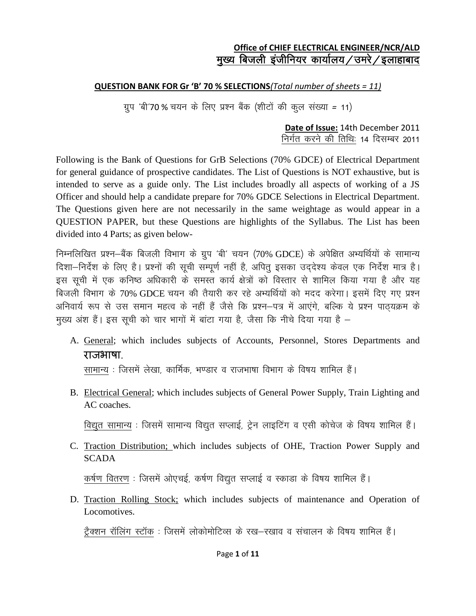#### **Office of CHIEF ELECTRICAL ENGINEER/NCR/ALD** मुख्य बिजली इंजीनियर कार्यालय/उमरे/इलाहाबाद

#### **QUESTION BANK FOR Gr 'B' 70 % SELECTIONS***(Total number of sheets = 11)*

xzqi ^ch^70 % p;u ds fy, iz"u cSad ¼"khVksa dh d qy la[;k *=* 11½

**Date of Issue:** 14th December 2011 निर्गत करने की तिथिः 14 दिसम्बर 2011

Following is the Bank of Questions for GrB Selections (70% GDCE) of Electrical Department for general guidance of prospective candidates. The List of Questions is NOT exhaustive, but is intended to serve as a guide only. The List includes broadly all aspects of working of a JS Officer and should help a candidate prepare for 70% GDCE Selections in Electrical Department. The Questions given here are not necessarily in the same weightage as would appear in a QUESTION PAPER, but these Questions are highlights of the Syllabus. The List has been divided into 4 Parts; as given below-

निम्नलिखित प्रश्न–बैंक बिजली विभाग के ग्रुप 'बी' चयन (70% GDCE) के अपेक्षित अभ्यर्थियों के सामान्य दिशा-निर्देश के लिए है। प्रश्नों की सूची सम्पूर्ण नहीं है, अपित् इसका उद्देश्य केवल एक निर्देश मात्र है। इस सूची में एक कनिष्ठ अधिकारी के समस्त कार्य क्षेत्रों को विस्तार से शामिल किया गया है और यह बिजली विभाग के 70% GDCE चयन की तैयारी कर रहे अभ्यर्थियों को मदद करेगा। इसमें दिए गए प्रश्न अनिवार्य रूप से उस समान महत्व के नहीं हैं जैसे कि प्रश्न-पत्र में आएंगे, बल्कि ये प्रश्न पाठयक्रम के मुख्य अंश हैं। इस सूची को चार भागों में बांटा गया है, जैसा कि नीचे दिया गया है –

A. General; which includes subjects of Accounts, Personnel, Stores Departments and राजभाषा.

सामान्य : जिसमें लेखा, कार्मिक, भण्डार व राजभाषा विभाग के विषय शामिल हैं।

B. Electrical General; which includes subjects of General Power Supply, Train Lighting and AC coaches.

विद्युत सामान्य : जिसमें सामान्य विद्युत सप्लाई, ट्रेन लाइटिंग व एसी कोचेज के विषय शामिल हैं।

C. Traction Distribution; which includes subjects of OHE, Traction Power Supply and **SCADA** 

कर्षण वितरण : जिसमें ओएचई, कर्षण विद्युत सप्लाई व स्काडा के विषय शामिल हैं।

D. Traction Rolling Stock; which includes subjects of maintenance and Operation of Locomotives.

टैक्शन रॉलिंग स्टॉक : जिसमें लोकोमोटिव्स के रख—रखाव व संचालन के विषय शामिल हैं।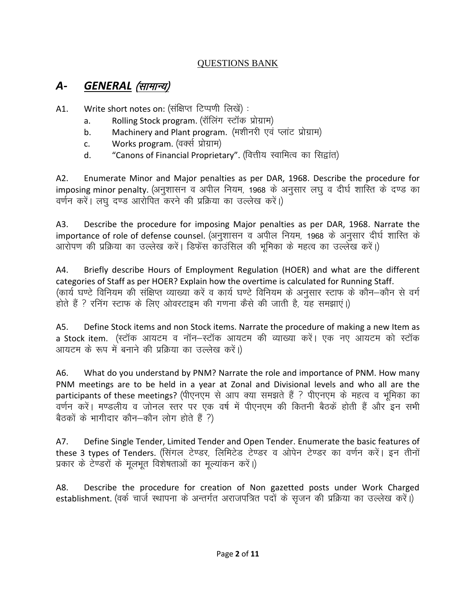#### QUESTIONS BANK

### A- *GENERAL (सामान्य)*

A1. Write short notes on: (संक्षिप्त टिप्पणी लिखें):

- a. Rolling Stock program. (रॉलिंग स्टॉक प्रोग्राम)
- b. Machinery and Plant program. (मशीनरी एवं प्लांट प्रोग्राम)
- c. Works program. (वर्क्स प्रोग्राम)
- d. "Canons of Financial Proprietary". (वित्तीय स्वामित्व का सिद्वांत)

A2. Enumerate Minor and Major penalties as per DAR, 1968. Describe the procedure for imposing minor penalty. (अनुशासन व अपील नियम, 1968 के अनुसार लघु व दीर्घ शास्ति के दण्ड का वर्णन करें। लघु दण्ड आरोपित करने की प्रक्रिया का उल्लेख करें।)

A3. Describe the procedure for imposing Major penalties as per DAR, 1968. Narrate the importance of role of defense counsel. (अनुशासन)व अपील नियम, 1968 के अनुसार 'दीर्घ शास्ति' के आरोपण की प्रक्रिया का उल्लेख करें। डिफेंस काउंसिल की भूमिका के महत्व का उल्लेख करें।)

A4. Briefly describe Hours of Employment Regulation (HOER) and what are the different categories of Staff as per HOER? Explain how the overtime is calculated for Running Staff. (कार्य घण्टे विनियम की संक्षिप्त व्याख्या करें व कार्य घण्टे विनियम के अनुसार स्टाफ के कौन–कौन से वर्ग होते हैं ? रनिंग स्टाफ के लिए ओवरटाइम की गणना कैसे की जाती है. यह समझाएं।)

A5. Define Stock items and non Stock items. Narrate the procedure of making a new Item as a Stock item. (स्टॉक आयटम व नॉन–स्टॉक आयटम की व्याख्या करें। एक नए आयटम को स्टॉक आयटम के रूप में बनाने की प्रक्रिया का उल्लेख करें।)

A6. What do you understand by PNM? Narrate the role and importance of PNM. How many PNM meetings are to be held in a year at Zonal and Divisional levels and who all are the participants of these meetings? (पीएनएम) से आप क्या समझते हैं ? पीएनएम) के महत्व व भूमिका का वर्णन करें। मण्डलीय व जोनल स्तर पर एक वर्ष में पीएनएम की कितनी बैठकें होती हैं और इन सभी बैठकों के भागीदार कौन–कौन लोग होते हैं ?)

A7. Define Single Tender, Limited Tender and Open Tender. Enumerate the basic features of these 3 types of Tenders. (सिंगल टेण्डर, लिमिटेड टेण्डर व ओपेन टेण्डर का वर्णन करें। इन तीनों प्रकार के टेण्डरों के मुलभूत विशेषताओं का मुल्यांकन करें।)

A8. Describe the procedure for creation of Non gazetted posts under Work Charged establishment. (वर्क चार्ज स्थापना के अन्तर्गत अराजपत्रित पदों के सृजन की प्रक्रिया का उल्लेख करें।)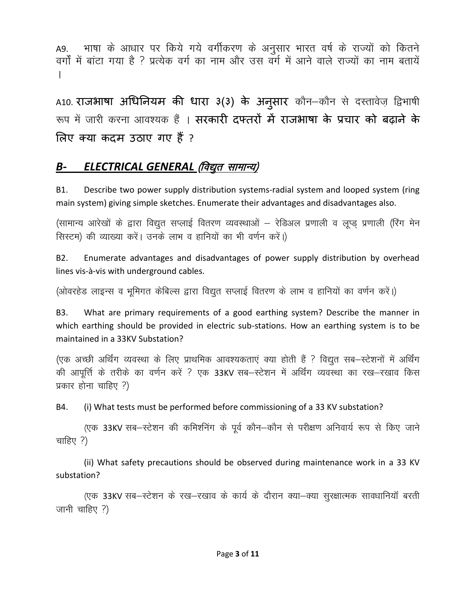A9. भाषा के आधार पर किये गये वर्गीकरण के अनुसार भारत वर्ष के राज्यों को कितने वर्गों में बांटा गया है ? प्रत्येक वर्ग का नाम और उस वर्ग में आने वाले राज्यों का नाम बतायें A

A10. **राजभाषा अधिनियम की धारा ३(३) के अनुसार** कौन–कौन से दस्तावेज़ द्विभाषी रूप में जारी करना आवश्यक हैं । सरकारी दफ्तरों में राजभाषा के प्रचार को बढाने के लऱए क्या कदम उठाए गए हैं?

### **B- ELECTRICAL GENERAL (विद्युत सामान्य)**

B1. Describe two power supply distribution systems-radial system and looped system (ring main system) giving simple sketches. Enumerate their advantages and disadvantages also.

(सामान्य आरेखों के द्वारा विद्युत सप्लाई वितरण व्यवस्थाओं – रेडिअल प्रणाली व लूप्ड प्रणाली (रिंग मेन सिस्टम) की व्याख्या करें। उनके लाभ व हानियों का भी वर्णन करें।)

B2. Enumerate advantages and disadvantages of power supply distribution by overhead lines vis-à-vis with underground cables.

(ओवरहेड लाइन्स व भूमिगत केबिल्स द्वारा विद्युत सप्लाई वितरण के लाभ व हानियों का वर्णन करें।)

B3. What are primary requirements of a good earthing system? Describe the manner in which earthing should be provided in electric sub-stations. How an earthing system is to be maintained in a 33KV Substation?

(एक अच्छी अर्थिंग व्यवस्था के लिए प्राथमिक आवश्यकताएं क्या होती हैं ? विद्युत सब—स्टेशनों में अर्थिंग की आपूर्त्ति के तरीके का वर्णन करें ? एक 33KV सब–स्टेशन में अर्थिंग व्यवस्था का रख–रखाव किस प्रकार होना चाहिए  $?$ )

B4. (i) What tests must be performed before commissioning of a 33 KV substation?

(एक 33KV सब-स्टेशन की कमिशनिंग के पूर्व कौन-कौन से परीक्षण अनिवार्य रूप से किए जाने चाहिए $?$ )

(ii) What safety precautions should be observed during maintenance work in a 33 KV substation?

(एक 33KV सब-स्टेशन के रख-रखाव के कार्य के दौरान क्या-क्या सुरक्षात्मक सावधानियॉ बरती जानी चाहिए ?)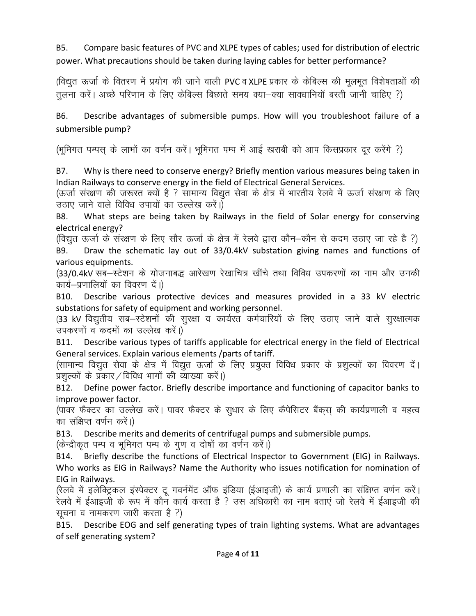B5. Compare basic features of PVC and XLPE types of cables; used for distribution of electric power. What precautions should be taken during laying cables for better performance?

(विद्युत ऊर्जा के वितरण में प्रयोग की जाने वाली PVC व XLPE प्रकार के केबिल्स की मुलभुत विशेषताओं की तलना करें। अच्छे परिणाम के लिए केबिल्स बिछाते समय क्या-क्या सावधानियाँ बरती जानी चाहिए ?)

B6. Describe advantages of submersible pumps. How will you troubleshoot failure of a submersible pump?

(भूमिगत पम्पस के लाभों का वर्णन करें। भूमिगत पम्प में आई खराबी को आप किसप्रकार दूर करेंगे ?)

B7. Why is there need to conserve energy? Briefly mention various measures being taken in Indian Railways to conserve energy in the field of Electrical General Services.

(ऊर्जा संरक्षण की जरूरत क्यों है ? सामान्य विद्युत सेवा के क्षेत्र में भारतीय रेलवे में ऊर्जा संरक्षण के लिए उठाए जाने वाले विविध उपायों का उल्लेख करें।)

B8. What steps are being taken by Railways in the field of Solar energy for conserving electrical energy?

(विद्युत ऊर्जा के संरक्षण के लिए सौर ऊर्जा के क्षेत्र में रेलवे द्वारा कौन–कौन से कदम उठाए जा रहे है ?) B9. Draw the schematic lay out of 33/0.4kV substation giving names and functions of various equipments.

(33/0.4kV सब-स्टेशन के योजनाबद्ध आरेखण रेखाचित्र खींचे तथा विविध उपकरणों का नाम और उनकी कार्य-प्रणालियों का विवरण दें।)

B10. Describe various protective devices and measures provided in a 33 kV electric substations for safety of equipment and working personnel.

(33 kV विद्युतीय सब–स्टेशनों की सुरक्षा व कार्यरत कर्मचारियों के लिए उठाए जाने वाले सुरक्षात्मक उपकरणों व कदमों का उल्लेख करें।)

B11. Describe various types of tariffs applicable for electrical energy in the field of Electrical General services. Explain various elements /parts of tariff.

(सामान्य विद्युत सेवा के क्षेत्र में विद्युत ऊर्जा के लिए प्रयुक्त विविध प्रकार के प्रशुल्कों का विवरण दें। प्रशुल्कों के प्रकार / विविध भागों की व्याख्या करें।)

B12. Define power factor. Briefly describe importance and functioning of capacitor banks to improve power factor.

(पावर फैक्टर का उल्लेख करें। पावर फैक्टर के सुधार के लिए कैपेसिटर बैंकस की कार्यप्रणाली व महत्व का संक्षिप्त वर्णन करें।)

B13. Describe merits and demerits of centrifugal pumps and submersible pumps.

(केन्द्रीकृत पम्प व भूमिगत पम्प के गुण व दोषों का वर्णन करें।)

B14. Briefly describe the functions of Electrical Inspector to Government (EIG) in Railways. Who works as EIG in Railways? Name the Authority who issues notification for nomination of EIG in Railways.

(रेलवे में इलेक्ट्रिकल इंस्पेक्टर टू गवर्नमेंट ऑफ इंडिया (ईआइजी) के कार्य प्रणाली का संक्षिप्त वर्णन करें। रेलवे में ईआइजी के रूप में कौन कार्य करता है ? उस अधिकारी का नाम बताएं जो रेलवे में ईआइजी की सूचना व नामकरण जारी करता है ?)

B15. Describe EOG and self generating types of train lighting systems. What are advantages of self generating system?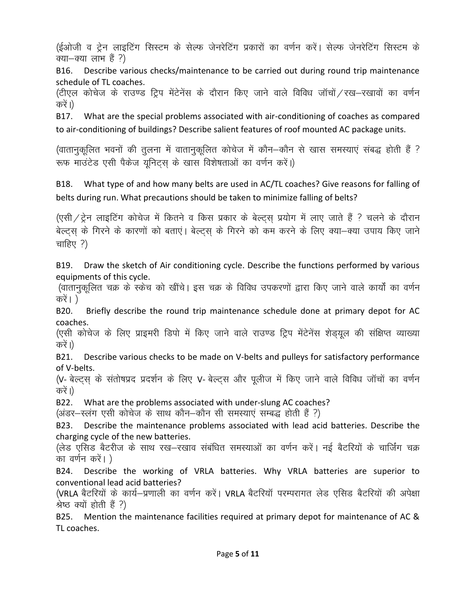(ईओजी व ट्रेन लाइटिंग सिस्टम के सेल्फ जेनरेटिंग प्रकारों का वर्णन करें। सेल्फ जेनरेटिंग सिस्टम के क्या—क्या लाभ हैं ?)

B16. Describe various checks/maintenance to be carried out during round trip maintenance schedule of TL coaches.

(टीएल कोचेज के राउण्ड ट्रिप मेंटेनेंस के दौरान किए जाने वाले विविध जॉचों / रख–रखावों का वर्णन करें ।)

B17. What are the special problems associated with air-conditioning of coaches as compared to air-conditioning of buildings? Describe salient features of roof mounted AC package units.

(वातानुकूलित भवनों की तुलना में वातानुकूलित कोचेज में कौन–कौन से खास समस्याएं संबद्ध होती हैं ? रूफ माउंटेड एसी पैकेज युनिटस के खास विशेषताओं का वर्णन करें।)

B18. What type of and how many belts are used in AC/TL coaches? Give reasons for falling of belts during run. What precautions should be taken to minimize falling of belts?

 $\lambda$ एसी $\lambda$ ट्रेन लाइटिंग कोचेज में कितने व किस प्रकार के बेल्ट्स् प्रयोग में लाए जाते हैं ? चलने के दौरान बेल्ट्स के गिरने के कारणों को बताएं। बेल्ट्स के गिरने को कम करने के लिए क्या-क्या उपाय किए जाने चाहिए $?$ )

B19. Draw the sketch of Air conditioning cycle. Describe the functions performed by various equipments of this cycle.

(वातानुकूलित चक्र के स्केच को खींचे। इस चक्र के विविध उपकरणों द्वारा किए जाने वाले कार्यों का वर्णन करें ।  $)$ 

B20. Briefly describe the round trip maintenance schedule done at primary depot for AC coaches.

(एसी कोचेज के लिए प्राइमरी डिपो में किए जाने वाले राउण्ड ट्रिप मेंटेनेंस शेड्यूल की संक्षिप्त व्याख्या करें ।)

B21. Describe various checks to be made on V-belts and pulleys for satisfactory performance of V-belts.

(V- बेल्ट्स के संतोषप्रद प्रदर्शन के लिए V- बेल्ट्स और पूलीज में किए जाने वाले विविध जॉचों का वर्णन करें ।)

B22. What are the problems associated with under-slung AC coaches?

(अंडर–स्लंग एसी कोचेज के साथ कौन–कौन सी समस्याएं सम्बद्ध होती हैं ?)

B23. Describe the maintenance problems associated with lead acid batteries. Describe the charging cycle of the new batteries.

(लेड एसिड बैटरीज के साथ रख–रखाव संबंधित समस्याओं का वर्णन करें। नई बैटरियों के चार्जिंग चक्र का वर्णन करें। )

B24. Describe the working of VRLA batteries. Why VRLA batteries are superior to conventional lead acid batteries?

(VRLA बैटरियों के कार्य-प्रणाली का वर्णन करें। VRLA बैटरियॉ परम्परागत लेड एसिड बैटरियों की अपेक्षा श्रेष्ठ क्यों होती हैं ?)

B25. Mention the maintenance facilities required at primary depot for maintenance of AC & TL coaches.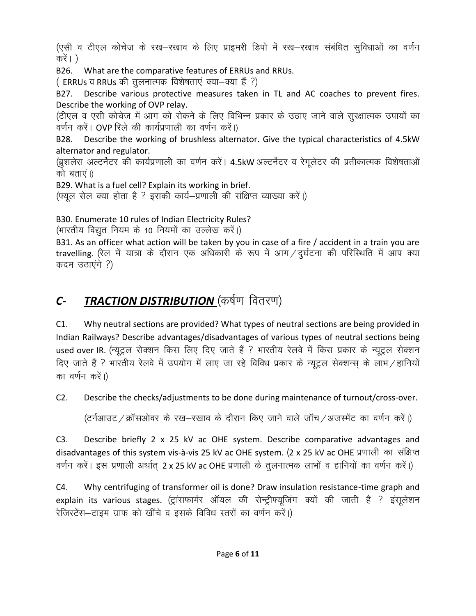(एसी व टीएल कोचेज के रख–रखाव के लिए प्राइमरी डिपो में रख–रखाव संबंधित सुविधाओं का वर्णन करें। )

B26. What are the comparative features of ERRUs and RRUs.

( ERRUs व RRUs की तुलनात्मक विशेषताएं क्या-क्या हैं ?)

B27. Describe various protective measures taken in TL and AC coaches to prevent fires. Describe the working of OVP relay.

(टीएल व एसी कोचेज में आग को रोकने के लिए विभिन्न प्रकार के उठाए जाने वाले सुरक्षात्मक उपायों का वर्णन करें। OVP रिले की कार्यप्रणाली का वर्णन करें।)

B28. Describe the working of brushless alternator. Give the typical characteristics of 4.5kW alternator and regulator.

(ब्रूशलेस अल्टर्नेटर की कार्यप्रणाली का वर्णन करें। 4.5kW अल्टर्नेटर व रेगुलेटर की प्रतीकात्मक विशेषताओं को बताएं।)

B29. What is a fuel cell? Explain its working in brief.

(फ्यूल सेल क्या होता है ? इसकी कार्य—प्रणाली की संक्षिप्त व्याख्या करें।)

B30. Enumerate 10 rules of Indian Electricity Rules?

(भारतीय विद्युत नियम के 10 नियमों का उल्लेख करें।)

B31. As an officer what action will be taken by you in case of a fire / accident in a train you are travelling. (रेल में यात्रा के दौरान एक अधिकारी के रूप में आग / दुर्घटना की परिस्थिति में आप क्या कदम उठाएंगे ?)

# **C- TRACTION DISTRIBUTION** (कर्षण वितरण)

C1. Why neutral sections are provided? What types of neutral sections are being provided in Indian Railways? Describe advantages/disadvantages of various types of neutral sections being used over IR. (न्यूट्रल सेक्शन किस लिए दिए जाते हैं ? भारतीय रेलवे में किस प्रकार के न्यूट्रल सेक्शन fिप, जाते हैं ? भारतीय रेलवे में उपयोग में लाए जा रहे विविध प्रकार के न्यूट्रल सेक्शन्स के लाभ / हानियों का वर्णन करें।)

C2. Describe the checks/adjustments to be done during maintenance of turnout/cross-over.

(टर्नआउट / क्रॉसओवर के रख-रखाव के दौरान किए जाने वाले जॉच / अजस्मेंट का वर्णन करें।)

C3. Describe briefly 2 x 25 kV ac OHE system. Describe comparative advantages and disadvantages of this system vis-à-vis 25 kV ac OHE system. (2 x 25 kV ac OHE प्रणाली का संक्षिप्त वर्णन करें। इस प्रणाली अर्थात 2 x 25 kV ac OHE प्रणाली के तुलनात्मक लाभों व हानियों का वर्णन करें।)

C4. Why centrifuging of transformer oil is done? Draw insulation resistance-time graph and explain its various stages. (ट्रांसफार्मर ऑयल की सेन्ट्रीफ्यूजिंग क्यों की जाती है ? इंसूलेशन रेजिस्टेंस-टाइम ग्राफ को खींचे व इसके विविध स्तरों का वर्णन करें।)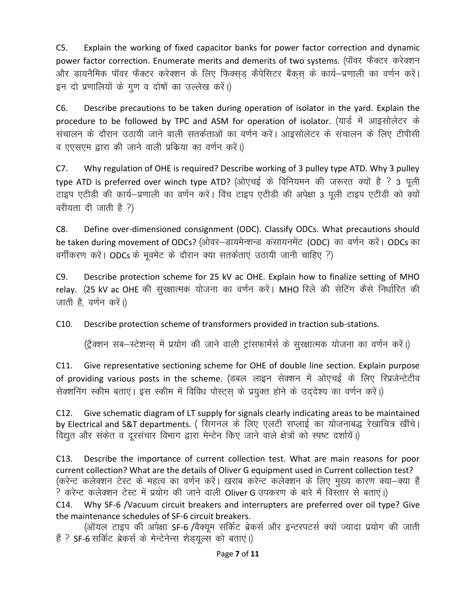C5. Explain the working of fixed capacitor banks for power factor correction and dynamic power factor correction. Enumerate merits and demerits of two systems. (पॉवर फैक्टर करेक्शन और डायनैमिक पॉवर फैक्टर करेक्शन के लिए फिक्सड़ कैपेसिटर बैंकस के कार्य-प्रणाली का वर्णन करें। इन दो प्रणालियों के गुण व दोषों का उल्लेख करें।)

C6. Describe precautions to be taken during operation of isolator in the yard. Explain the procedure to be followed by TPC and ASM for operation of isolator. (यार्ड में आइसोलेटर के संचालन के दौरान उठायी जाने वाली सतर्कताओं का वर्णन करें। आइसोलेटर के संचालन के लिए टीपीसी व एएसएम द्वारा की जाने वाली प्रक्रिया का वर्णन करें।)

C7. Why regulation of OHE is required? Describe working of 3 pulley type ATD. Why 3 pulley type ATD is preferred over winch type ATD? (ओएचई के विनियमन की जरूरत क्यों है ? 3 पूली टाइप एटीडी की कार्य-प्रणाली का वर्णन करें। विंच टाइप एटीडी की अपेक्षा 3 पली टाइप एटीडी को क्यों  $q$ रीयता दी जाती है ?)

C8. Define over-dimensioned consignment (ODC). Classify ODCs. What precautions should be taken during movement of ODCs? (ओवर–डायमेन्शन्ड) कंसायनमेंट (ODC) का वर्णन करें। ODCs का वर्गीकरण करें। ODCs के मुवमेंट के दौरान क्या सतर्कताएं उठायी जानी चाहिए ?)

C9. Describe protection scheme for 25 kV ac OHE. Explain how to finalize setting of MHO relay. (25 kV ac OHE की सुरक्षात्मक योजना का वर्णन करें। MHO रिले की सेटिंग कैसे निर्धारित की जाती है. वर्णन करें।)

C10. Describe protection scheme of transformers provided in traction sub-stations.

(ट्रैक्शन सब-स्टेशन्स में प्रयोग की जाने वाली ट्रांसफार्मर्स के सुरक्षात्मक योजना का वर्णन करें।)

C11. Give representative sectioning scheme for OHE of double line section. Explain purpose of providing various posts in the scheme. (डबल लाइन सेक्शन में ओएचई के लिए रिप्रजेन्टेटीव सेक्शनिंग स्कीम बताएं। इस स्कीम में विविध पोस्ट्स के प्रयुक्त होने के उददेश्य का वर्णन करें।)

C12. Give schematic diagram of LT supply for signals clearly indicating areas to be maintained by Electrical and S&T departments. ( सिगनल के लिए एलटी सप्लाई का योजनाबद्ध रेखाचित्र खींचे। विद्युत और संकेत व दूरसंचार विभाग द्वारा मेन्टेन किए जाने वाले क्षेत्रों को स्पष्ट दर्शायें।)

C13. Describe the importance of current collection test. What are main reasons for poor current collection? What are the details of Oliver G equipment used in Current collection test? (करेन्ट कलेक्शन टेस्ट के महत्व का वर्णन करें। खराब करेन्ट कलेक्शन के लिए मुख्य कारण क्या–क्या हैं ? करेन्ट कलेक्शन टेस्ट में प्रयोग की जाने वाली Oliver G उपकरण के बारे में विस्तार से बताएं।) C14. Why SF-6 /Vacuum circuit breakers and interrupters are preferred over oil type? Give

the maintenance schedules of SF-6 circuit breakers. (ऑयल टाइप की अपेक्षा SF-6 /वैक्यम सर्किट ब्रेकर्स और इन्टरपटर्स क्यों ज्यादा प्रयोग की जाती

हैं ? SF-6 सर्किट ब्रेकर्स के मेन्टेनेन्स शेड्यूल्स को बताएं।)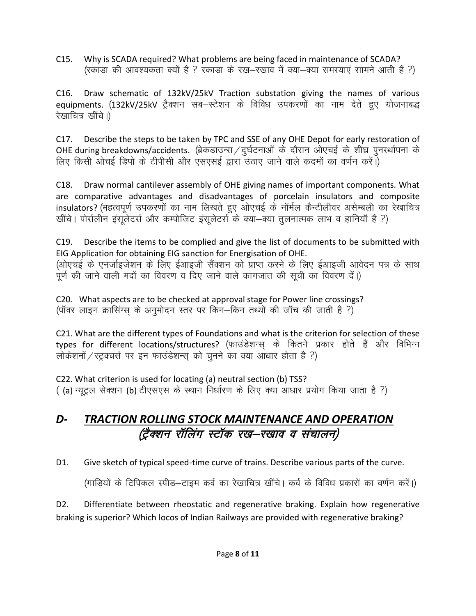C15. Why is SCADA required? What problems are being faced in maintenance of SCADA? (स्काडा की आवश्यकता क्यों है ? स्काडा के रख–रखाव में क्या–क्या समस्याएं सामने आती हैं ?)

C16. Draw schematic of 132kV/25kV Traction substation giving the names of various equipments. (132kV/25kV ट्रैक्शन सब–स्टेशन के विविध उपकरणों का नाम देते हए योजनाबद्ध रेखाचित्र खींचे।)

C17. Describe the steps to be taken by TPC and SSE of any OHE Depot for early restoration of OHE during breakdowns/accidents. (ब्रेकडाउन्स / दुर्घटनाओं के दौरान ओएचई के शीघ्र पुनर्स्थापना के लिए किसी ओचई डिपो के टीपीसी और एसएसई द्वारा उठाए जाने वाले कदमों का वर्णन करें।)

C18. Draw normal cantilever assembly of OHE giving names of important components. What are comparative advantages and disadvantages of porcelain insulators and composite insulators? (महत्वपूर्ण उपकरणों का नाम लिखते हुए ओएचई के नॉर्मल कैन्टीलीवर असेम्बली का रेखाचित्र खींचे। पोर्सलीन इंसूलेटर्स और कम्पोजिट इंसूलेटर्स के क्या-क्या तुलनात्मक लाभ व हानियाँ हैं ?)

C19. Describe the items to be complied and give the list of documents to be submitted with EIG Application for obtaining EIG sanction for Energisation of OHE. (ओएचई के एनर्जाइजेशन के लिए ईआइजी सैंक्शन को प्राप्त करने के लिए ईआइजी आवेदन पत्र के साथ पूर्ण की जाने वाली मदों का विवरण व दिए जाने वाले कागजात की सूची का विवरण दें।)

C20. What aspects are to be checked at approval stage for Power line crossings? (पॉवर लाइन क्रासिंग्स के अनुमोदन स्तर पर किन–किन तथ्यों की जॉच की जाती है ?)

C21. What are the different types of Foundations and what is the criterion for selection of these types for different locations/structures? (फाउंडेशन्स् के कितने प्रकार होते हैं और विभिन्न लोकेशनों / स्ट्रक्चर्स पर इन फाउंडेशन्स को चुनने का क्या आधार होता है ?)

C22. What criterion is used for locating (a) neutral section (b) TSS? ( (a) न्यूट्रल सेक्शन (b) टीएसएस के स्थान निर्धारण के लिए क्या आधार प्रयोग किया जाता है ?)

## *D- TRACTION ROLLING STOCK MAINTENANCE AND OPERATION* (ट्रैक्शन रॉलिंग स्टॉक रख–रखाव व संचालन)

D1. Give sketch of typical speed-time curve of trains. Describe various parts of the curve.

(गाड़ियों के टिपिकल स्पीड–टाइम कर्व का रेखाचित्र खींचे। कर्व के विविध प्रकारों का वर्णन करें।)

D2. Differentiate between rheostatic and regenerative braking. Explain how regenerative braking is superior? Which locos of Indian Railways are provided with regenerative braking?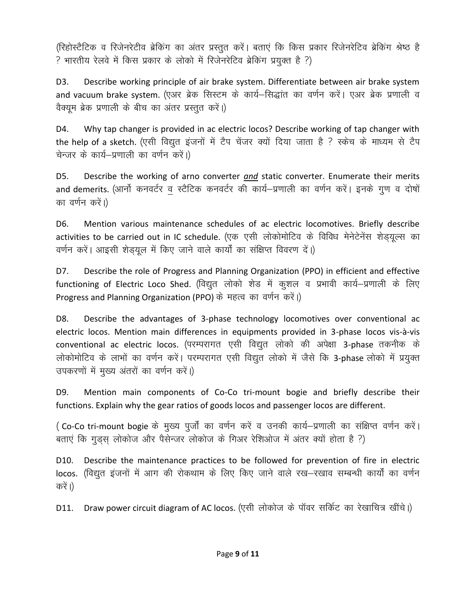(रिहोस्टैटिक व रिजेनरेटीव ब्रेकिंग का अंतर प्रस्तुत करें। बताएं कि किस प्रकार रिजेनरेटिव ब्रेकिंग श्रेष्ठ है ? भारतीय रेलवे में किस प्रकार के लोको में रिजेनरेटिव ब्रेकिंग प्रयुक्त है ?)

D3. Describe working principle of air brake system. Differentiate between air brake system and vacuum brake system. (एअर ब्रेक सिस्टम के कार्य–सिद्धांत का वर्णन करें। एअर ब्रेक प्रणाली व वैक्यम ब्रेक प्रणाली के बीच का अंतर प्रस्तुत करें।)

D4. Why tap changer is provided in ac electric locos? Describe working of tap changer with the help of a sketch. (एसी विद्युत इंजनों में टैप चेंजर क्यों दिया जाता है ? स्केच के माध्यम से टैप चेन्जर के कार्य-प्रणाली का वर्णन करें।)

D5. Describe the working of arno converter *and* static converter. Enumerate their merits and demerits. (आर्नो कनवर्टर व स्टैटिक कनवर्टर की कार्य–प्रणाली का वर्णन करें। इनके गुण व दोषों का वर्णन करें।)

D6. Mention various maintenance schedules of ac electric locomotives. Briefly describe activities to be carried out in IC schedule. (एक एसी लोकोमोटिव के विविध मेनेटेनेंस शेडयुल्स का वर्णन करें। आइसी शेड़यूल में किए जाने वाले कार्यों का संक्षिप्त विवरण दें।)

D7. Describe the role of Progress and Planning Organization (PPO) in efficient and effective functioning of Electric Loco Shed. (विद्युत लोको शेड में कुशल व प्रभावी कार्य-प्रणाली के लिए Progress and Planning Organization (PPO) के महत्व का वर्णन करें।)

D8. Describe the advantages of 3-phase technology locomotives over conventional ac electric locos. Mention main differences in equipments provided in 3-phase locos vis-à-vis conventional ac electric locos. (परम्परागत एसी विद्युत लोको की अपेक्षा 3-phase तकनीक के लोकोमोटिव के लाभों का वर्णन करें। परम्परागत एसी विद्युत लोको में जैसे कि 3-phase लोको में प्रयुक्त उपकरणों में मुख्य अंतरों का वर्णन करें।)

D9. Mention main components of Co-Co tri-mount bogie and briefly describe their functions. Explain why the gear ratios of goods locos and passenger locos are different.

(Co-Co tri-mount bogie के मुख्य पुर्जों का वर्णन करें व उनकी कार्य–प्रणाली का संक्षिप्त वर्णन करें। बताएं कि गुड़स लोकोज और पैसेन्जर लोकोज के गिअर रेशिओज में अंतर क्यों होता है ?)

D10. Describe the maintenance practices to be followed for prevention of fire in electric locos. (विद्युत इंजनों में आग की रोकथाम के लिए किए जाने वाले रख–रखाव सम्बन्धी कार्यों का वर्णन करें ।)

D11. Draw power circuit diagram of AC locos. (एसी लोकोज के पॉवर सर्किट का रेखाचित्र खींचे।)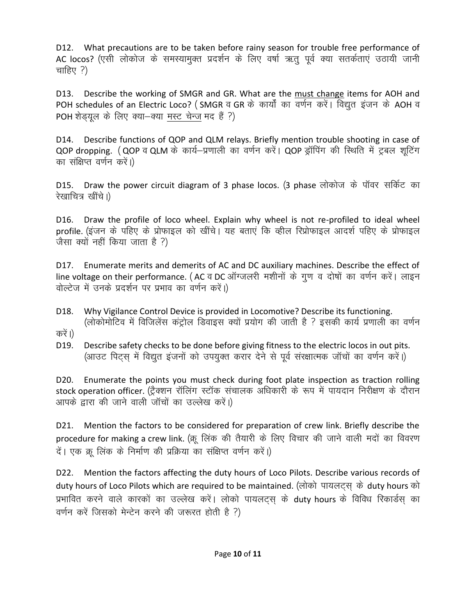D12. What precautions are to be taken before rainy season for trouble free performance of AC locos? (एसी लोकोज के समस्यामुक्त प्रदर्शन के लिए वर्षा ऋतु पूर्व क्या सतर्कताएं उठायी जानी चाहिए $?$ )

D13. Describe the working of SMGR and GR. What are the must change items for AOH and POH schedules of an Electric Loco? (SMGR व GR के कार्यों का वर्णन करें। विद्युत इंजन के AOH व POH शेडयल के लिए क्या-क्या मस्ट चेन्ज मद हैं ?)

D14. Describe functions of QOP and QLM relays. Briefly mention trouble shooting in case of QOP dropping. (QOP व QLM के कार्य-प्रणाली का वर्णन करें। QOP ड्रॉपिंग की स्थिति में ट्रबल शूटिंग का संक्षिप्त वर्णन करें।)

D15. Draw the power circuit diagram of 3 phase locos. (3 phase लोकोज के पॉवर सर्किट का रेखाचित्र खींचे।)

D16. Draw the profile of loco wheel. Explain why wheel is not re-profiled to ideal wheel profile. (इंजन के पहिए के प्रोफाइल को खींचे। यह बताएं कि व्हील रिप्रोफाइल आदर्श पहिए के प्रोफाइल जैसा क्यों नहीं किया जाता है ?)

D17. Enumerate merits and demerits of AC and DC auxiliary machines. Describe the effect of line voltage on their performance. (AC व DC ऑग्जलरी मशीनों के गुण व दोषों का वर्णन करें। लाइन वोल्टेज में उनके प्रदर्शन पर प्रभाव का वर्णन करें।)

- D18. Why Vigilance Control Device is provided in Locomotive? Describe its functioning. (लोकोमोटिव में विजिलेंस कंट्रोल डिवाइस क्यों प्रयोग की जाती है ? इसकी कार्य प्रणाली का वर्णन
- करें ।)
- D19. Describe safety checks to be done before giving fitness to the electric locos in out pits. (आउट पिट्स में विद्युत इंजनों को उपयुक्त करार देने से पूर्व संरक्षात्मक जॉचों का वर्णन करें।)

D20. Enumerate the points you must check during foot plate inspection as traction rolling stock operation officer. (ट्रैक्शन रॉलिंग स्टॉक संचालक अधिकारी के रूप में पायदान निरीक्षण के दौरान आपके द्वारा की जाने वाली जॉचों का उल्लेख करें।)

D21. Mention the factors to be considered for preparation of crew link. Briefly describe the procedure for making a crew link. (क्रू लिंक की तैयारी के लिए विचार की जाने वाली मदों का विवरण दें। एक क्रू लिंक के निर्माण की प्रक्रिया का संक्षिप्त वर्णन करें।)

D22. Mention the factors affecting the duty hours of Loco Pilots. Describe various records of duty hours of Loco Pilots which are required to be maintained. (लोको पायलटस के duty hours को प्रभावित करने वाले कारकों का उल्लेख करें। लोको पायलट्स के duty hours के विविध रिकार्डस का वर्णन करें जिसको मेन्टेन करने की जरूरत होती है ?)